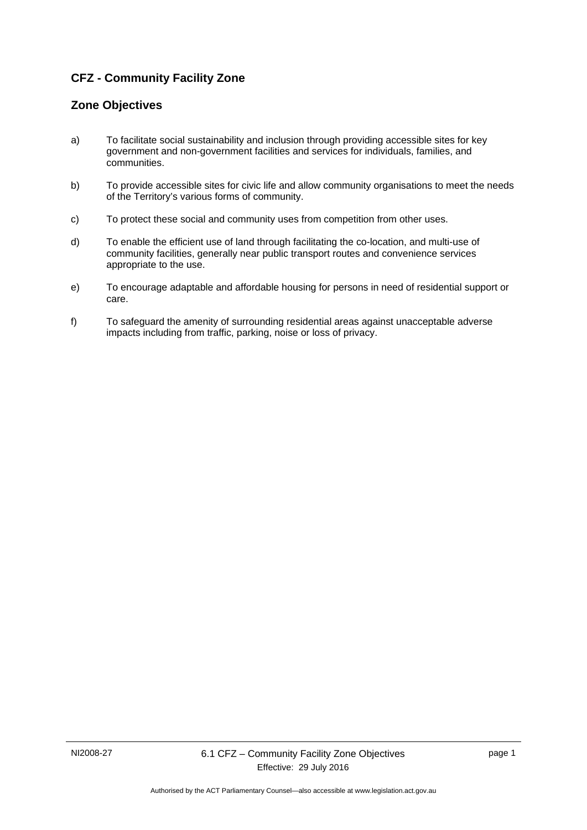## **CFZ - Community Facility Zone**

#### **Zone Objectives**

- a) To facilitate social sustainability and inclusion through providing accessible sites for key government and non-government facilities and services for individuals, families, and communities.
- b) To provide accessible sites for civic life and allow community organisations to meet the needs of the Territory's various forms of community.
- c) To protect these social and community uses from competition from other uses.
- d) To enable the efficient use of land through facilitating the co-location, and multi-use of community facilities, generally near public transport routes and convenience services appropriate to the use.
- e) To encourage adaptable and affordable housing for persons in need of residential support or care.
- f) To safeguard the amenity of surrounding residential areas against unacceptable adverse impacts including from traffic, parking, noise or loss of privacy.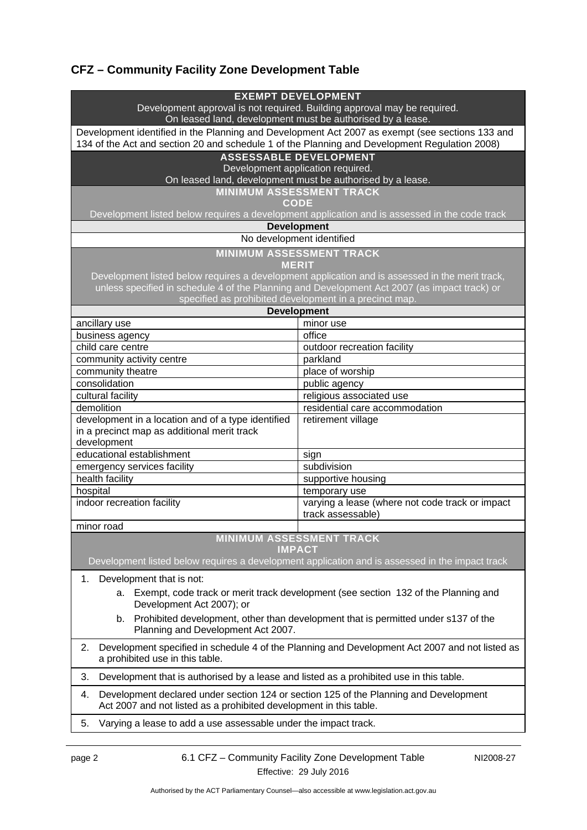# **CFZ – Community Facility Zone Development Table**

| <b>EXEMPT DEVELOPMENT</b><br>Development approval is not required. Building approval may be required.<br>On leased land, development must be authorised by a lease.                              |                                                                      |
|--------------------------------------------------------------------------------------------------------------------------------------------------------------------------------------------------|----------------------------------------------------------------------|
| Development identified in the Planning and Development Act 2007 as exempt (see sections 133 and<br>134 of the Act and section 20 and schedule 1 of the Planning and Development Regulation 2008) |                                                                      |
| <b>ASSESSABLE DEVELOPMENT</b>                                                                                                                                                                    |                                                                      |
| Development application required.                                                                                                                                                                |                                                                      |
| On leased land, development must be authorised by a lease.                                                                                                                                       |                                                                      |
| <b>MINIMUM ASSESSMENT TRACK</b>                                                                                                                                                                  |                                                                      |
| <b>CODE</b>                                                                                                                                                                                      |                                                                      |
| Development listed below requires a development application and is assessed in the code track<br><b>Development</b>                                                                              |                                                                      |
| No development identified                                                                                                                                                                        |                                                                      |
| <b>MINIMUM ASSESSMENT TRACK</b><br><b>MERIT</b>                                                                                                                                                  |                                                                      |
| Development listed below requires a development application and is assessed in the merit track,                                                                                                  |                                                                      |
| unless specified in schedule 4 of the Planning and Development Act 2007 (as impact track) or                                                                                                     |                                                                      |
| specified as prohibited development in a precinct map.                                                                                                                                           |                                                                      |
| <b>Development</b>                                                                                                                                                                               |                                                                      |
| ancillary use                                                                                                                                                                                    | minor use                                                            |
| business agency                                                                                                                                                                                  | office                                                               |
| child care centre                                                                                                                                                                                | outdoor recreation facility                                          |
| community activity centre                                                                                                                                                                        | parkland                                                             |
| community theatre                                                                                                                                                                                | place of worship                                                     |
| consolidation                                                                                                                                                                                    | public agency                                                        |
| cultural facility                                                                                                                                                                                | religious associated use                                             |
| demolition                                                                                                                                                                                       | residential care accommodation                                       |
| development in a location and of a type identified                                                                                                                                               | retirement village                                                   |
| in a precinct map as additional merit track<br>development                                                                                                                                       |                                                                      |
| educational establishment                                                                                                                                                                        | sign                                                                 |
| emergency services facility                                                                                                                                                                      | subdivision                                                          |
| health facility                                                                                                                                                                                  | supportive housing                                                   |
| hospital                                                                                                                                                                                         | temporary use                                                        |
| indoor recreation facility                                                                                                                                                                       | varying a lease (where not code track or impact<br>track assessable) |
| minor road                                                                                                                                                                                       |                                                                      |
| <b>MINIMUM ASSESSMENT TRACK</b><br><b>IMPACT</b><br>Development listed below requires a development application and is assessed in the impact track                                              |                                                                      |
| Development that is not:<br>1.                                                                                                                                                                   |                                                                      |
| Exempt, code track or merit track development (see section 132 of the Planning and<br>а.<br>Development Act 2007); or                                                                            |                                                                      |
| Prohibited development, other than development that is permitted under s137 of the<br>b.<br>Planning and Development Act 2007.                                                                   |                                                                      |
| Development specified in schedule 4 of the Planning and Development Act 2007 and not listed as<br>2.<br>a prohibited use in this table.                                                          |                                                                      |
| Development that is authorised by a lease and listed as a prohibited use in this table.<br>3.                                                                                                    |                                                                      |
| Development declared under section 124 or section 125 of the Planning and Development<br>4.<br>Act 2007 and not listed as a prohibited development in this table.                                |                                                                      |
| Varying a lease to add a use assessable under the impact track.<br>5.                                                                                                                            |                                                                      |
|                                                                                                                                                                                                  |                                                                      |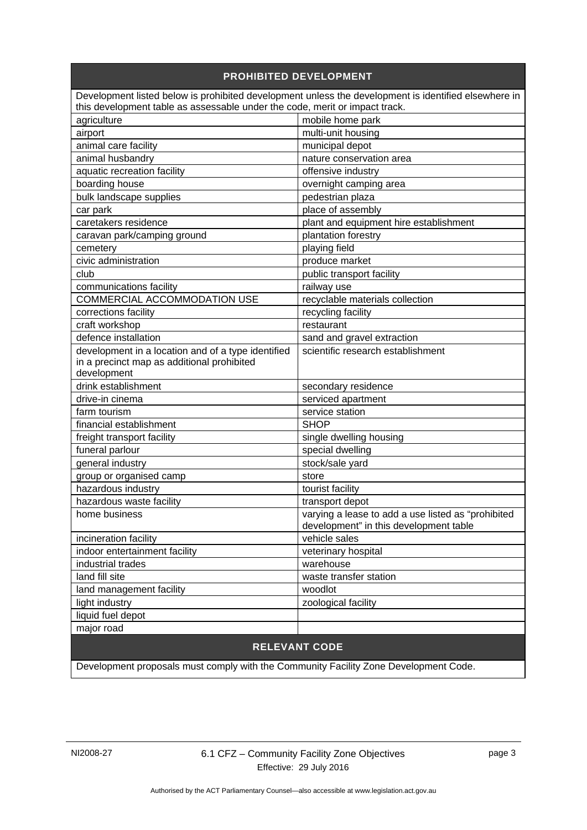#### **PROHIBITED DEVELOPMENT**

Development listed below is prohibited development unless the development is identified elsewhere in this development table as assessable under the code, merit or impact track.

| agriculture                                        | mobile home park                                                                             |
|----------------------------------------------------|----------------------------------------------------------------------------------------------|
| airport                                            | multi-unit housing                                                                           |
| animal care facility                               | municipal depot                                                                              |
| animal husbandry                                   | nature conservation area                                                                     |
| aquatic recreation facility                        | offensive industry                                                                           |
| boarding house                                     | overnight camping area                                                                       |
| bulk landscape supplies                            | pedestrian plaza                                                                             |
| car park                                           | place of assembly                                                                            |
| caretakers residence                               | plant and equipment hire establishment                                                       |
| caravan park/camping ground                        | plantation forestry                                                                          |
| cemetery                                           | playing field                                                                                |
| civic administration                               | produce market                                                                               |
| club                                               | public transport facility                                                                    |
| communications facility                            | railway use                                                                                  |
| <b>COMMERCIAL ACCOMMODATION USE</b>                | recyclable materials collection                                                              |
| corrections facility                               | recycling facility                                                                           |
| craft workshop                                     | restaurant                                                                                   |
| defence installation                               | sand and gravel extraction                                                                   |
| development in a location and of a type identified | scientific research establishment                                                            |
| in a precinct map as additional prohibited         |                                                                                              |
| development                                        |                                                                                              |
| drink establishment                                | secondary residence                                                                          |
| drive-in cinema                                    | serviced apartment                                                                           |
| farm tourism                                       | service station                                                                              |
| financial establishment                            | <b>SHOP</b>                                                                                  |
| freight transport facility                         | single dwelling housing                                                                      |
| funeral parlour                                    | special dwelling                                                                             |
| general industry                                   | stock/sale yard                                                                              |
| group or organised camp                            | store                                                                                        |
| hazardous industry                                 | tourist facility                                                                             |
| hazardous waste facility                           | transport depot                                                                              |
| home business                                      | varying a lease to add a use listed as "prohibited<br>development" in this development table |
| incineration facility                              | vehicle sales                                                                                |
| indoor entertainment facility                      | veterinary hospital                                                                          |
| industrial trades                                  | warehouse                                                                                    |
| land fill site                                     | waste transfer station                                                                       |
| land management facility                           | woodlot                                                                                      |
| light industry                                     | zoological facility                                                                          |
| liquid fuel depot                                  |                                                                                              |
| major road                                         |                                                                                              |
|                                                    |                                                                                              |

### **RELEVANT CODE**

Development proposals must comply with the Community Facility Zone Development Code.